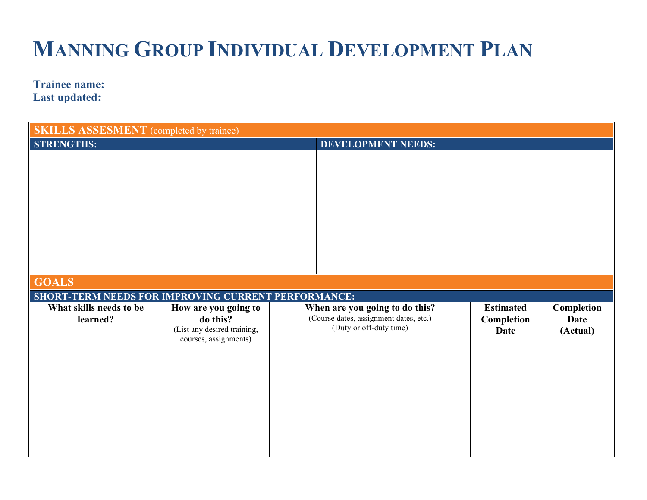## **MANNING GROUP INDIVIDUAL DEVELOPMENT PLAN**

**Trainee name: Last updated:**

| <b>SKILLS ASSESMENT</b> (completed by trainee)      |                             |                           |                                        |                  |             |
|-----------------------------------------------------|-----------------------------|---------------------------|----------------------------------------|------------------|-------------|
| <b>STRENGTHS:</b>                                   |                             | <b>DEVELOPMENT NEEDS:</b> |                                        |                  |             |
|                                                     |                             |                           |                                        |                  |             |
|                                                     |                             |                           |                                        |                  |             |
|                                                     |                             |                           |                                        |                  |             |
|                                                     |                             |                           |                                        |                  |             |
|                                                     |                             |                           |                                        |                  |             |
|                                                     |                             |                           |                                        |                  |             |
|                                                     |                             |                           |                                        |                  |             |
|                                                     |                             |                           |                                        |                  |             |
|                                                     |                             |                           |                                        |                  |             |
|                                                     |                             |                           |                                        |                  |             |
| <b>GOALS</b>                                        |                             |                           |                                        |                  |             |
|                                                     |                             |                           |                                        |                  |             |
| SHORT-TERM NEEDS FOR IMPROVING CURRENT PERFORMANCE: |                             |                           |                                        |                  |             |
| What skills needs to be                             | How are you going to        |                           | When are you going to do this?         | <b>Estimated</b> | Completion  |
| learned?                                            | do this?                    |                           | (Course dates, assignment dates, etc.) | Completion       | <b>Date</b> |
|                                                     | (List any desired training, |                           | (Duty or off-duty time)                | <b>Date</b>      | (Actual)    |
|                                                     | courses, assignments)       |                           |                                        |                  |             |
|                                                     |                             |                           |                                        |                  |             |
|                                                     |                             |                           |                                        |                  |             |
|                                                     |                             |                           |                                        |                  |             |
|                                                     |                             |                           |                                        |                  |             |
|                                                     |                             |                           |                                        |                  |             |
|                                                     |                             |                           |                                        |                  |             |
|                                                     |                             |                           |                                        |                  |             |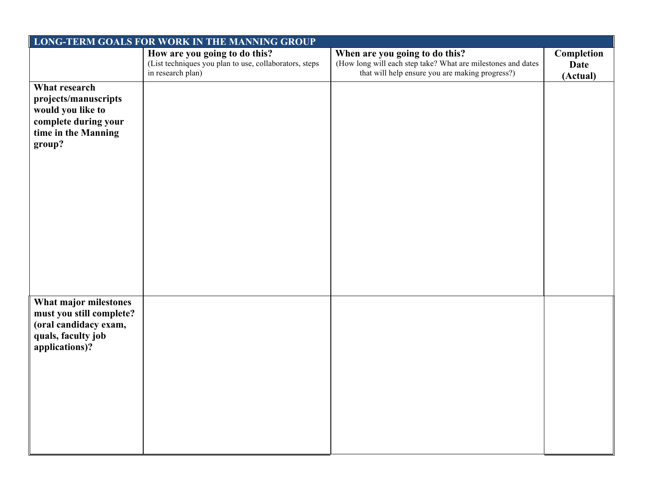| LONG-TERM GOALS FOR WORK IN THE MANNING GROUP |                                                        |                                                              |            |  |
|-----------------------------------------------|--------------------------------------------------------|--------------------------------------------------------------|------------|--|
|                                               | How are you going to do this?                          | When are you going to do this?                               | Completion |  |
|                                               | (List techniques you plan to use, collaborators, steps | (How long will each step take? What are milestones and dates | Date       |  |
|                                               | in research plan)                                      | that will help ensure you are making progress?)              | (Actual)   |  |
| What research                                 |                                                        |                                                              |            |  |
| projects/manuscripts                          |                                                        |                                                              |            |  |
| would you like to                             |                                                        |                                                              |            |  |
| complete during your                          |                                                        |                                                              |            |  |
| time in the Manning                           |                                                        |                                                              |            |  |
| group?                                        |                                                        |                                                              |            |  |
|                                               |                                                        |                                                              |            |  |
|                                               |                                                        |                                                              |            |  |
|                                               |                                                        |                                                              |            |  |
|                                               |                                                        |                                                              |            |  |
|                                               |                                                        |                                                              |            |  |
|                                               |                                                        |                                                              |            |  |
|                                               |                                                        |                                                              |            |  |
|                                               |                                                        |                                                              |            |  |
|                                               |                                                        |                                                              |            |  |
|                                               |                                                        |                                                              |            |  |
|                                               |                                                        |                                                              |            |  |
|                                               |                                                        |                                                              |            |  |
|                                               |                                                        |                                                              |            |  |
|                                               |                                                        |                                                              |            |  |
| What major milestones                         |                                                        |                                                              |            |  |
| must you still complete?                      |                                                        |                                                              |            |  |
| (oral candidacy exam,                         |                                                        |                                                              |            |  |
| quals, faculty job                            |                                                        |                                                              |            |  |
| applications)?                                |                                                        |                                                              |            |  |
|                                               |                                                        |                                                              |            |  |
|                                               |                                                        |                                                              |            |  |
|                                               |                                                        |                                                              |            |  |
|                                               |                                                        |                                                              |            |  |
|                                               |                                                        |                                                              |            |  |
|                                               |                                                        |                                                              |            |  |
|                                               |                                                        |                                                              |            |  |
|                                               |                                                        |                                                              |            |  |
|                                               |                                                        |                                                              |            |  |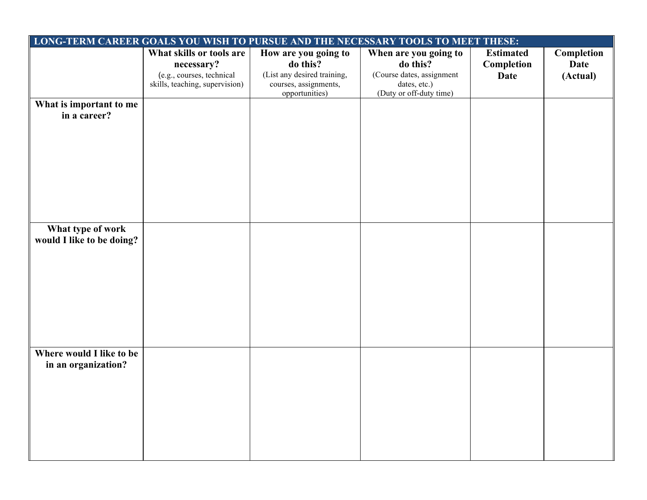| LONG-TERM CAREER GOALS YOU WISH TO PURSUE AND THE NECESSARY TOOLS TO MEET THESE: |                                                                                                       |                                                                                                            |                                                                                                           |                                               |                                       |
|----------------------------------------------------------------------------------|-------------------------------------------------------------------------------------------------------|------------------------------------------------------------------------------------------------------------|-----------------------------------------------------------------------------------------------------------|-----------------------------------------------|---------------------------------------|
|                                                                                  | What skills or tools are<br>necessary?<br>(e.g., courses, technical<br>skills, teaching, supervision) | How are you going to<br>do this?<br>(List any desired training,<br>courses, assignments,<br>opportunities) | When are you going to<br>do this?<br>(Course dates, assignment<br>dates, etc.)<br>(Duty or off-duty time) | <b>Estimated</b><br>Completion<br><b>Date</b> | Completion<br><b>Date</b><br>(Actual) |
| What is important to me<br>in a career?                                          |                                                                                                       |                                                                                                            |                                                                                                           |                                               |                                       |
| What type of work<br>would I like to be doing?                                   |                                                                                                       |                                                                                                            |                                                                                                           |                                               |                                       |
| Where would I like to be<br>in an organization?                                  |                                                                                                       |                                                                                                            |                                                                                                           |                                               |                                       |